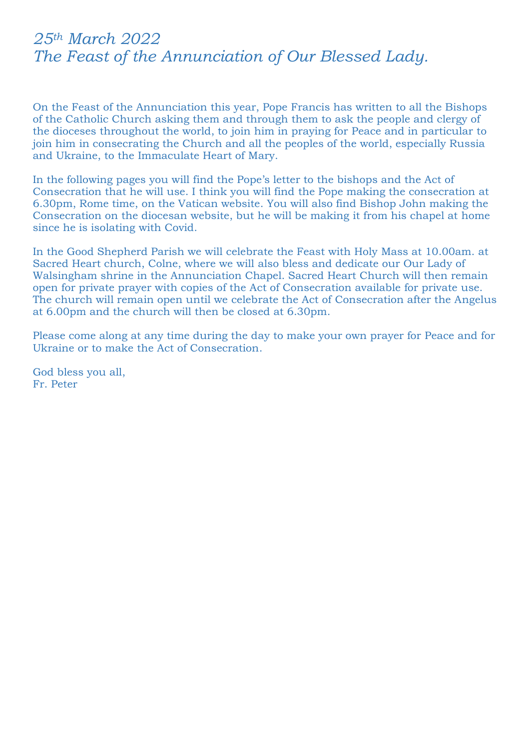## *25th March 2022 The Feast of the Annunciation of Our Blessed Lady.*

On the Feast of the Annunciation this year, Pope Francis has written to all the Bishops of the Catholic Church asking them and through them to ask the people and clergy of the dioceses throughout the world, to join him in praying for Peace and in particular to join him in consecrating the Church and all the peoples of the world, especially Russia and Ukraine, to the Immaculate Heart of Mary.

In the following pages you will find the Pope's letter to the bishops and the Act of Consecration that he will use. I think you will find the Pope making the consecration at 6.30pm, Rome time, on the Vatican website. You will also find Bishop John making the Consecration on the diocesan website, but he will be making it from his chapel at home since he is isolating with Covid.

In the Good Shepherd Parish we will celebrate the Feast with Holy Mass at 10.00am. at Sacred Heart church, Colne, where we will also bless and dedicate our Our Lady of Walsingham shrine in the Annunciation Chapel. Sacred Heart Church will then remain open for private prayer with copies of the Act of Consecration available for private use. The church will remain open until we celebrate the Act of Consecration after the Angelus at 6.00pm and the church will then be closed at 6.30pm.

Please come along at any time during the day to make your own prayer for Peace and for Ukraine or to make the Act of Consecration.

God bless you all, Fr. Peter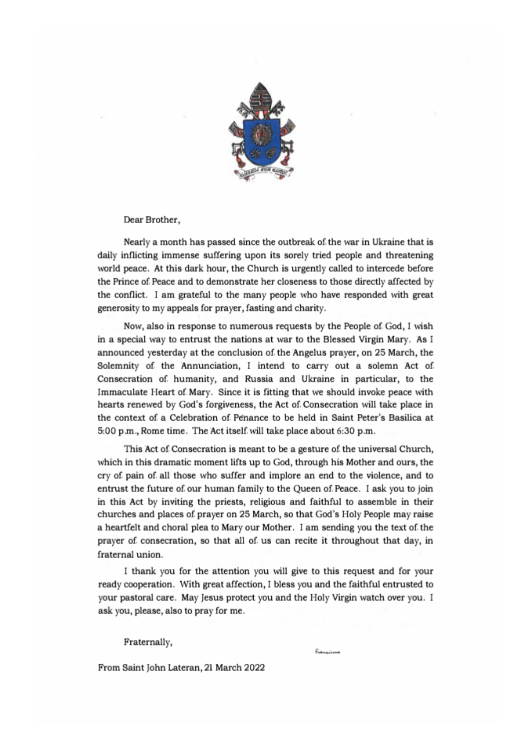

Dear Brother,

Nearly a month has passed since the outbreak of the war in Ukraine that is daily inflicting immense suffering upon its sorely tried people and threatening world peace. At this dark hour, the Church is urgently called to intercede before the Prince of Peace and to demonstrate her closeness to those directly affected by the conflict. I am grateful to the many people who have responded with great generosity to my appeals for prayer, fasting and charity.

Now, also in response to numerous requests by the People of God, I wish in a special way to entrust the nations at war to the Blessed Virgin Mary. As I announced yesterday at the conclusion of the Angelus prayer, on 25 March, the Solemnity of the Annunciation, I intend to carry out a solemn Act of Consecration of humanity, and Russia and Ukraine in particular, to the Immaculate Heart of Mary. Since it is fitting that we should invoke peace with hearts renewed by God's forgiveness, the Act of Consecration will take place in the context of a Celebration of Penance to be held in Saint Peter's Basilica at 5:00 p.m., Rome time. The Act itself will take place about 6:30 p.m.

This Act of Consecration is meant to be a gesture of the universal Church, which in this dramatic moment lifts up to God, through his Mother and ours, the cry of pain of all those who suffer and implore an end to the violence, and to entrust the future of our human family to the Queen of Peace. I ask you to join in this Act by inviting the priests, religious and faithful to assemble in their churches and places of prayer on 25 March, so that God's Holy People may raise a heartfelt and choral plea to Mary our Mother. I am sending you the text of the prayer of consecration, so that all of us can recite it throughout that day, in fraternal union.

I thank you for the attention you will give to this request and for your ready cooperation. With great affection, I bless you and the faithful entrusted to your pastoral care. May Jesus protect you and the Holy Virgin watch over you. I ask you, please, also to pray for me.

Fraternally,

From Saint John Lateran, 21 March 2022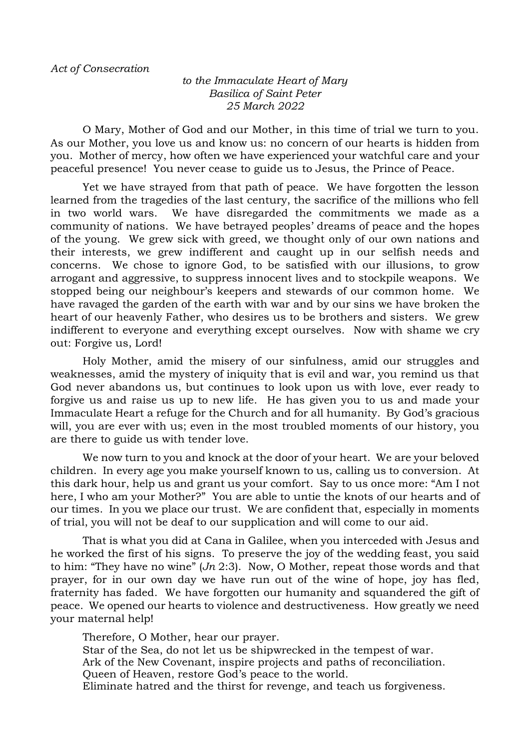*to the Immaculate Heart of Mary Basilica of Saint Peter 25 March 2022*

O Mary, Mother of God and our Mother, in this time of trial we turn to you. As our Mother, you love us and know us: no concern of our hearts is hidden from you. Mother of mercy, how often we have experienced your watchful care and your peaceful presence! You never cease to guide us to Jesus, the Prince of Peace.

Yet we have strayed from that path of peace. We have forgotten the lesson learned from the tragedies of the last century, the sacrifice of the millions who fell in two world wars. We have disregarded the commitments we made as a community of nations. We have betrayed peoples' dreams of peace and the hopes of the young. We grew sick with greed, we thought only of our own nations and their interests, we grew indifferent and caught up in our selfish needs and concerns. We chose to ignore God, to be satisfied with our illusions, to grow arrogant and aggressive, to suppress innocent lives and to stockpile weapons. We stopped being our neighbour's keepers and stewards of our common home. We have ravaged the garden of the earth with war and by our sins we have broken the heart of our heavenly Father, who desires us to be brothers and sisters. We grew indifferent to everyone and everything except ourselves. Now with shame we cry out: Forgive us, Lord!

Holy Mother, amid the misery of our sinfulness, amid our struggles and weaknesses, amid the mystery of iniquity that is evil and war, you remind us that God never abandons us, but continues to look upon us with love, ever ready to forgive us and raise us up to new life. He has given you to us and made your Immaculate Heart a refuge for the Church and for all humanity. By God's gracious will, you are ever with us; even in the most troubled moments of our history, you are there to guide us with tender love.

We now turn to you and knock at the door of your heart. We are your beloved children. In every age you make yourself known to us, calling us to conversion. At this dark hour, help us and grant us your comfort. Say to us once more: "Am I not here, I who am your Mother?" You are able to untie the knots of our hearts and of our times. In you we place our trust. We are confident that, especially in moments of trial, you will not be deaf to our supplication and will come to our aid.

That is what you did at Cana in Galilee, when you interceded with Jesus and he worked the first of his signs. To preserve the joy of the wedding feast, you said to him: "They have no wine" (*Jn* 2:3). Now, O Mother, repeat those words and that prayer, for in our own day we have run out of the wine of hope, joy has fled, fraternity has faded. We have forgotten our humanity and squandered the gift of peace. We opened our hearts to violence and destructiveness. How greatly we need your maternal help!

Therefore, O Mother, hear our prayer. Star of the Sea, do not let us be shipwrecked in the tempest of war. Ark of the New Covenant, inspire projects and paths of reconciliation. Queen of Heaven, restore God's peace to the world. Eliminate hatred and the thirst for revenge, and teach us forgiveness.